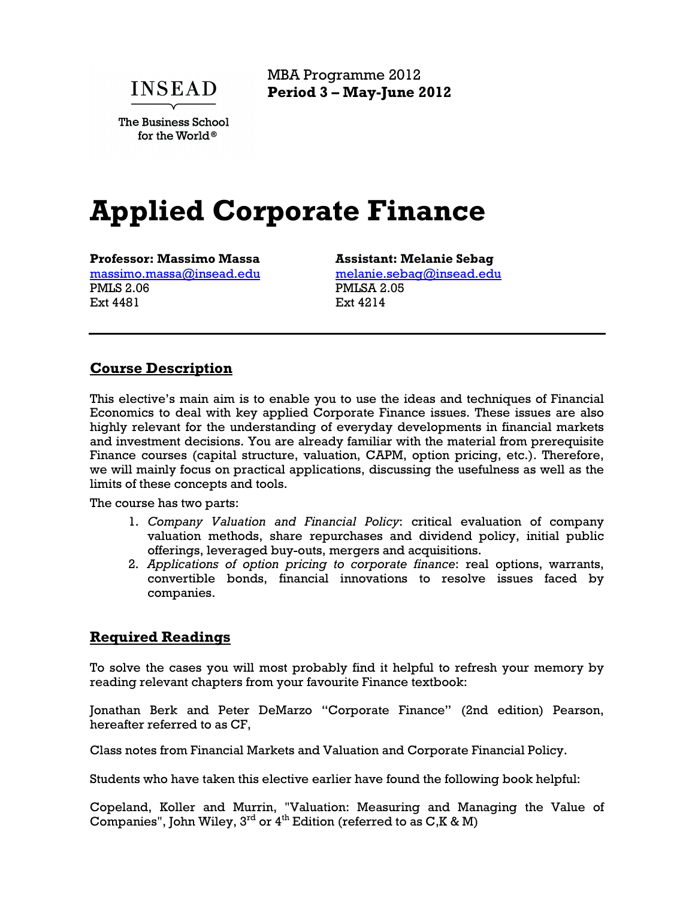**INSEAD** 

The Business School for the World®

MBA Programme 2012 **Period 3 – May-June 2012**

# **Applied Corporate Finance**

**Professor: Massimo Massa**  massimo.massa@insead.edu PMLS 2.06 Ext 4481

**Assistant: Melanie Sebag**  melanie.sebag@insead.edu PMLSA 2.05 Ext 4214

## **Course Description**

This elective's main aim is to enable you to use the ideas and techniques of Financial Economics to deal with key applied Corporate Finance issues. These issues are also highly relevant for the understanding of everyday developments in financial markets and investment decisions. You are already familiar with the material from prerequisite Finance courses (capital structure, valuation, CAPM, option pricing, etc.). Therefore, we will mainly focus on practical applications, discussing the usefulness as well as the limits of these concepts and tools.

The course has two parts:

- 1. *Company Valuation and Financial Policy*: critical evaluation of company valuation methods, share repurchases and dividend policy, initial public offerings, leveraged buy-outs, mergers and acquisitions.
- 2. *Applications of option pricing to corporate finance*: real options, warrants, convertible bonds, financial innovations to resolve issues faced by companies.

#### **Required Readings**

To solve the cases you will most probably find it helpful to refresh your memory by reading relevant chapters from your favourite Finance textbook:

Jonathan Berk and Peter DeMarzo "Corporate Finance" (2nd edition) Pearson, hereafter referred to as CF,

Class notes from Financial Markets and Valuation and Corporate Financial Policy.

Students who have taken this elective earlier have found the following book helpful:

Copeland, Koller and Murrin, "Valuation: Measuring and Managing the Value of Companies", John Wiley,  $3^{rd}$  or  $4^{th}$  Edition (referred to as C,K & M)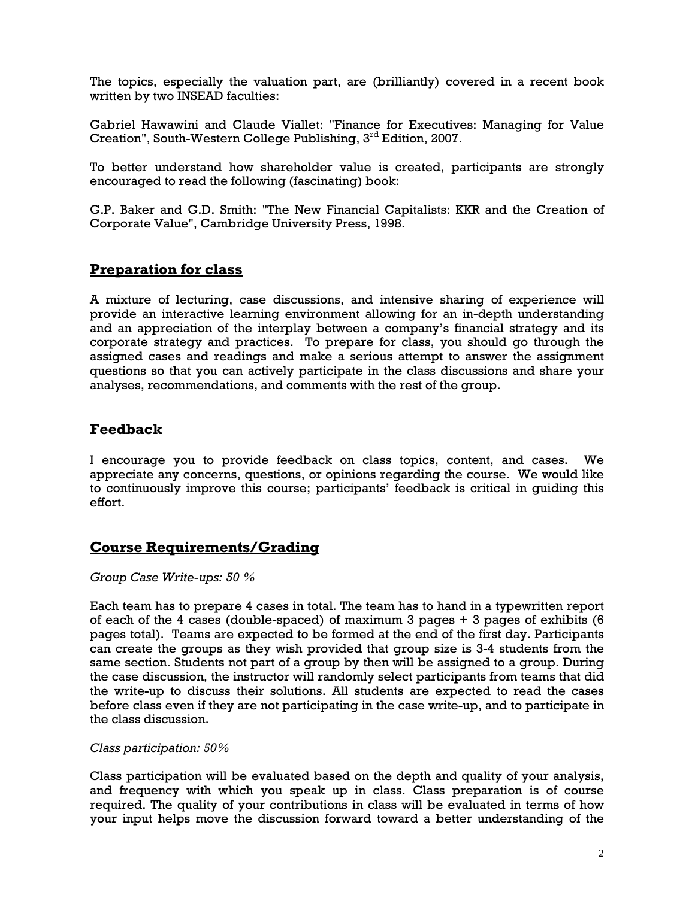The topics, especially the valuation part, are (brilliantly) covered in a recent book written by two INSEAD faculties:

Gabriel Hawawini and Claude Viallet: "Finance for Executives: Managing for Value Creation", South-Western College Publishing, 3<sup>rd</sup> Edition, 2007.

To better understand how shareholder value is created, participants are strongly encouraged to read the following (fascinating) book:

G.P. Baker and G.D. Smith: "The New Financial Capitalists: KKR and the Creation of Corporate Value", Cambridge University Press, 1998.

### **Preparation for class**

A mixture of lecturing, case discussions, and intensive sharing of experience will provide an interactive learning environment allowing for an in-depth understanding and an appreciation of the interplay between a company's financial strategy and its corporate strategy and practices. To prepare for class, you should go through the assigned cases and readings and make a serious attempt to answer the assignment questions so that you can actively participate in the class discussions and share your analyses, recommendations, and comments with the rest of the group.

## **Feedback**

I encourage you to provide feedback on class topics, content, and cases. We appreciate any concerns, questions, or opinions regarding the course. We would like to continuously improve this course; participants' feedback is critical in guiding this effort.

#### **Course Requirements/Grading**

#### *Group Case Write-ups: 50 %*

Each team has to prepare 4 cases in total. The team has to hand in a typewritten report of each of the 4 cases (double-spaced) of maximum 3 pages + 3 pages of exhibits (6 pages total). Teams are expected to be formed at the end of the first day. Participants can create the groups as they wish provided that group size is 3-4 students from the same section. Students not part of a group by then will be assigned to a group. During the case discussion, the instructor will randomly select participants from teams that did the write-up to discuss their solutions. All students are expected to read the cases before class even if they are not participating in the case write-up, and to participate in the class discussion.

#### *Class participation: 50%*

Class participation will be evaluated based on the depth and quality of your analysis, and frequency with which you speak up in class. Class preparation is of course required. The quality of your contributions in class will be evaluated in terms of how your input helps move the discussion forward toward a better understanding of the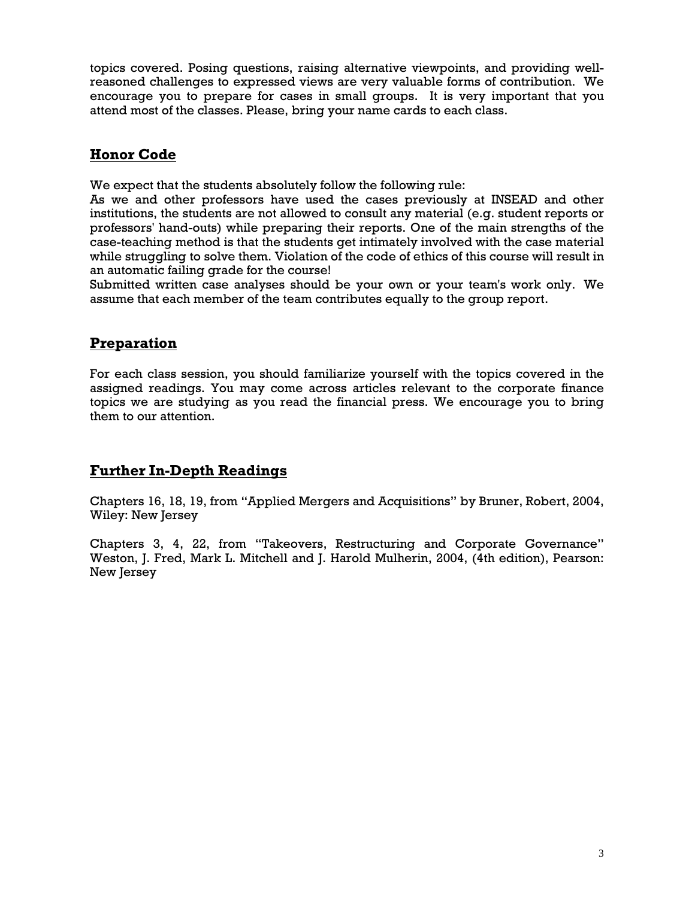topics covered. Posing questions, raising alternative viewpoints, and providing wellreasoned challenges to expressed views are very valuable forms of contribution. We encourage you to prepare for cases in small groups. It is very important that you attend most of the classes. Please, bring your name cards to each class.

# **Honor Code**

We expect that the students absolutely follow the following rule:

As we and other professors have used the cases previously at INSEAD and other institutions, the students are not allowed to consult any material (e.g. student reports or professors' hand-outs) while preparing their reports. One of the main strengths of the case-teaching method is that the students get intimately involved with the case material while struggling to solve them. Violation of the code of ethics of this course will result in an automatic failing grade for the course!

Submitted written case analyses should be your own or your team's work only. We assume that each member of the team contributes equally to the group report.

# **Preparation**

For each class session, you should familiarize yourself with the topics covered in the assigned readings. You may come across articles relevant to the corporate finance topics we are studying as you read the financial press. We encourage you to bring them to our attention.

# **Further In-Depth Readings**

Chapters 16, 18, 19, from "Applied Mergers and Acquisitions" by Bruner, Robert, 2004, Wiley: New Jersey

Chapters 3, 4, 22, from "Takeovers, Restructuring and Corporate Governance" Weston, J. Fred, Mark L. Mitchell and J. Harold Mulherin, 2004, (4th edition), Pearson: New Jersey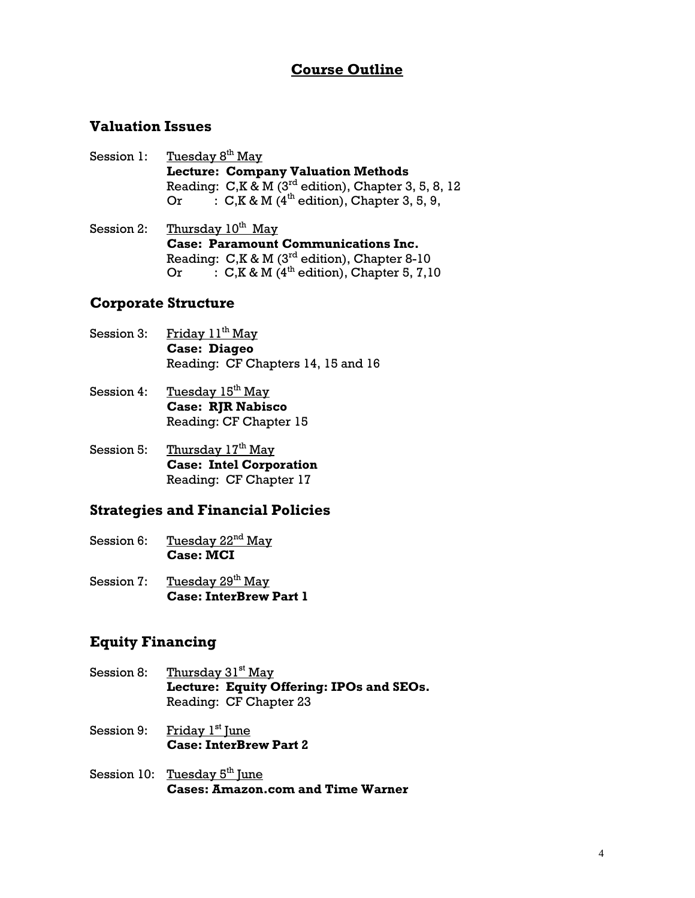# **Course Outline**

# **Valuation Issues**

- Session 1: Tuesday 8<sup>th</sup> May **Lecture: Company Valuation Methods** Reading:  $C, K \& M$  (3<sup>rd</sup> edition), Chapter 3, 5, 8, 12 Or  $\cdot$  C, K & M (4<sup>th</sup> edition), Chapter 3, 5, 9,
- Session 2: Thursday  $10^{th}$  May **Case: Paramount Communications Inc.**  Reading:  $C$ ,  $K \& M$  (3<sup>rd</sup> edition), Chapter 8-10 Or  $\cdot$  : C, K & M (4<sup>th</sup> edition), Chapter 5, 7,10

#### **Corporate Structure**

- Session 3: Friday  $11<sup>th</sup>$  May **Case: Diageo** Reading: CF Chapters 14, 15 and 16
- Session 4: Tuesday  $15<sup>th</sup>$  May **Case: RJR Nabisco** Reading: CF Chapter 15
- Session 5: Thursday  $17<sup>th</sup>$  May **Case: Intel Corporation**  Reading: CF Chapter 17

#### **Strategies and Financial Policies**

- Session 6: Tuesday 22<sup>nd</sup> May **Case: MCI**
- Session 7: Tuesday 29<sup>th</sup> May **Case: InterBrew Part 1**

# **Equity Financing**

- Session 8: Thursday 31<sup>st</sup> May **Lecture: Equity Offering: IPOs and SEOs.**  Reading: CF Chapter 23
- Session 9: Friday 1<sup>st</sup> June **Case: InterBrew Part 2**
- Session 10: Tuesday  $5<sup>th</sup>$  June **Cases: Amazon.com and Time Warner**